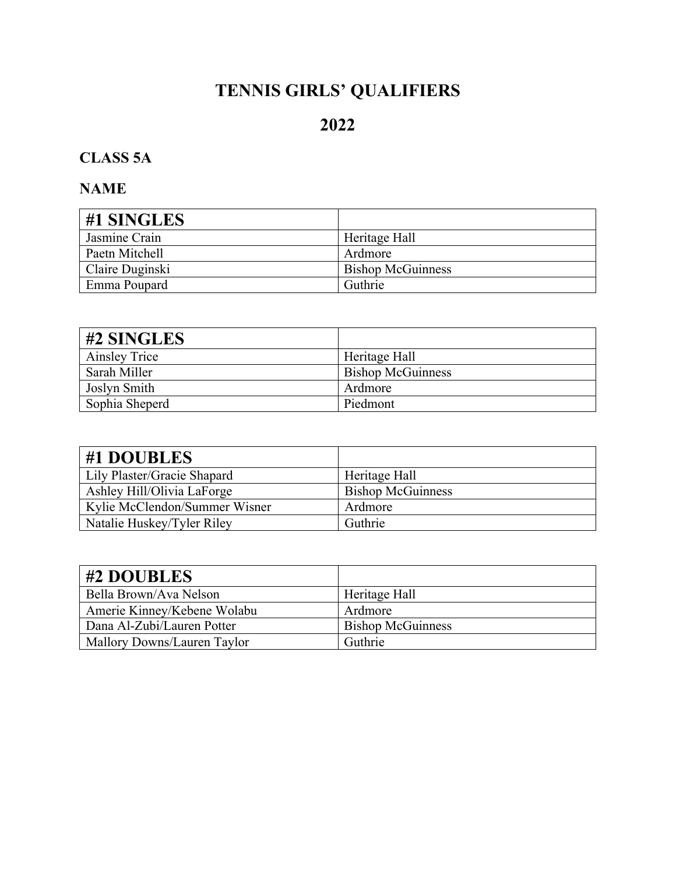# **TENNIS GIRLS' QUALIFIERS**

# **2022**

# **CLASS 5A**

| #1 SINGLES      |                          |
|-----------------|--------------------------|
| Jasmine Crain   | Heritage Hall            |
| Paetn Mitchell  | Ardmore                  |
| Claire Duginski | <b>Bishop McGuinness</b> |
| Emma Poupard    | Guthrie                  |

| $\#2$ SINGLES  |                          |
|----------------|--------------------------|
| Ainsley Trice  | Heritage Hall            |
| Sarah Miller   | <b>Bishop McGuinness</b> |
| Joslyn Smith   | Ardmore                  |
| Sophia Sheperd | Piedmont                 |

| #1 DOUBLES                    |                          |
|-------------------------------|--------------------------|
| Lily Plaster/Gracie Shapard   | Heritage Hall            |
| Ashley Hill/Olivia LaForge    | <b>Bishop McGuinness</b> |
| Kylie McClendon/Summer Wisner | Ardmore                  |
| Natalie Huskey/Tyler Riley    | Guthrie                  |

| #2 DOUBLES                  |                          |
|-----------------------------|--------------------------|
| Bella Brown/Ava Nelson      | Heritage Hall            |
| Amerie Kinney/Kebene Wolabu | Ardmore                  |
| Dana Al-Zubi/Lauren Potter  | <b>Bishop McGuinness</b> |
| Mallory Downs/Lauren Taylor | Guthrie                  |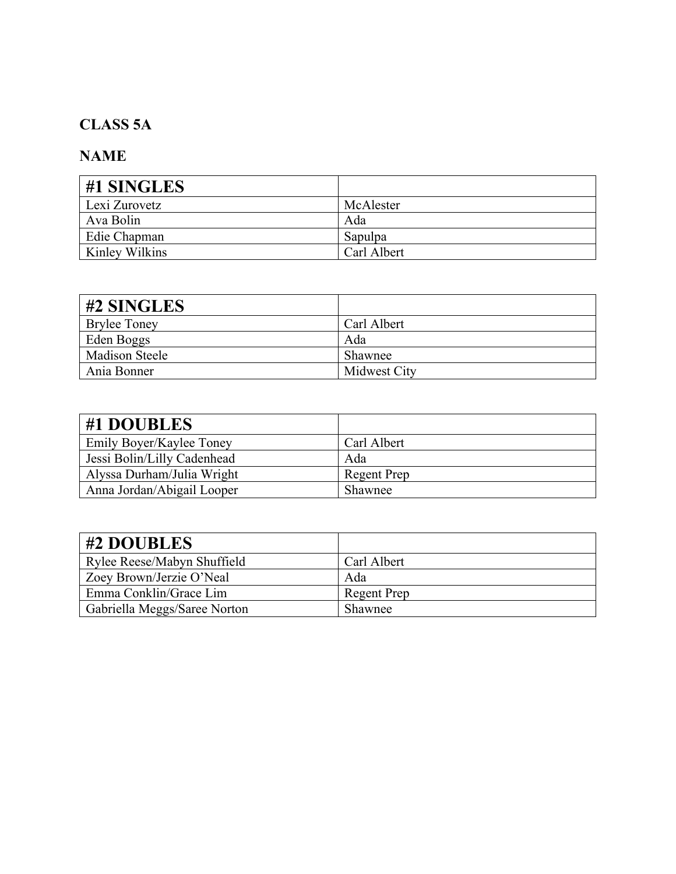## **CLASS 5A**

| #1 SINGLES     |             |
|----------------|-------------|
| Lexi Zurovetz  | McAlester   |
| Ava Bolin      | Ada         |
| Edie Chapman   | Sapulpa     |
| Kinley Wilkins | Carl Albert |

| #2 SINGLES            |              |
|-----------------------|--------------|
| <b>Brylee Toney</b>   | Carl Albert  |
| Eden Boggs            | Ada          |
| <b>Madison Steele</b> | Shawnee      |
| Ania Bonner           | Midwest City |

| #1 DOUBLES                  |             |
|-----------------------------|-------------|
| Emily Boyer/Kaylee Toney    | Carl Albert |
| Jessi Bolin/Lilly Cadenhead | Ada         |
| Alyssa Durham/Julia Wright  | Regent Prep |
| Anna Jordan/Abigail Looper  | Shawnee     |

| #2 DOUBLES                   |                    |
|------------------------------|--------------------|
| Rylee Reese/Mabyn Shuffield  | Carl Albert        |
| Zoey Brown/Jerzie O'Neal     | Ada                |
| Emma Conklin/Grace Lim       | <b>Regent Prep</b> |
| Gabriella Meggs/Saree Norton | Shawnee            |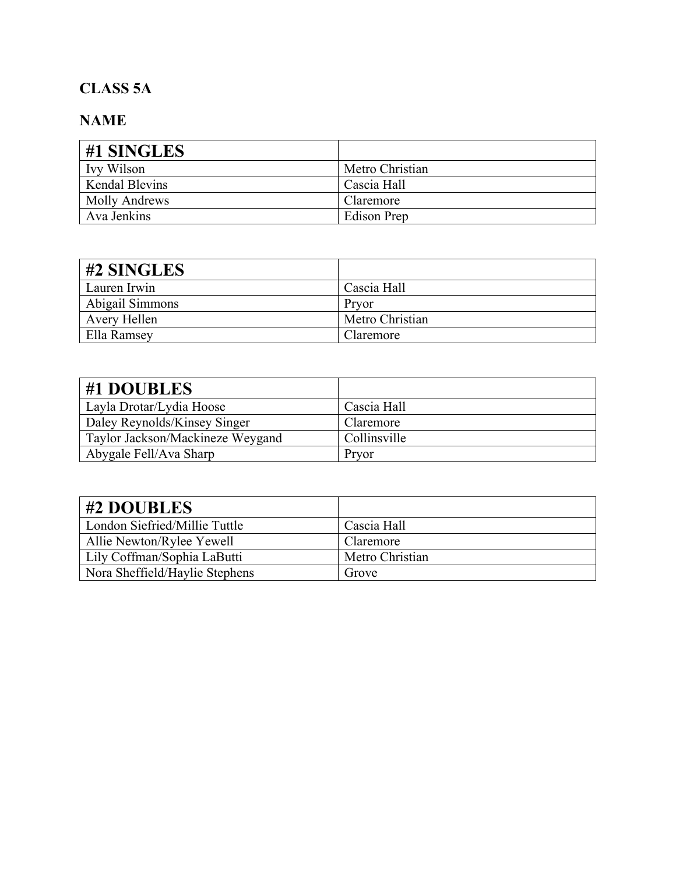### **CLASS 5A**

| #1 SINGLES            |                 |
|-----------------------|-----------------|
| Ivy Wilson            | Metro Christian |
| <b>Kendal Blevins</b> | Cascia Hall     |
| Molly Andrews         | Claremore       |
| Ava Jenkins           | Edison Prep     |

| #2 SINGLES      |                 |
|-----------------|-----------------|
| Lauren Irwin    | Cascia Hall     |
| Abigail Simmons | Pryor           |
| Avery Hellen    | Metro Christian |
| Ella Ramsey     | Claremore       |

| #1 DOUBLES                       |              |
|----------------------------------|--------------|
| Layla Drotar/Lydia Hoose         | Cascia Hall  |
| Daley Reynolds/Kinsey Singer     | Claremore    |
| Taylor Jackson/Mackineze Weygand | Collinsville |
| Abygale Fell/Ava Sharp           | Pryor        |

| #2 DOUBLES                     |                 |
|--------------------------------|-----------------|
| London Siefried/Millie Tuttle  | Cascia Hall     |
| Allie Newton/Rylee Yewell      | Claremore       |
| Lily Coffman/Sophia LaButti    | Metro Christian |
| Nora Sheffield/Haylie Stephens | Grove           |